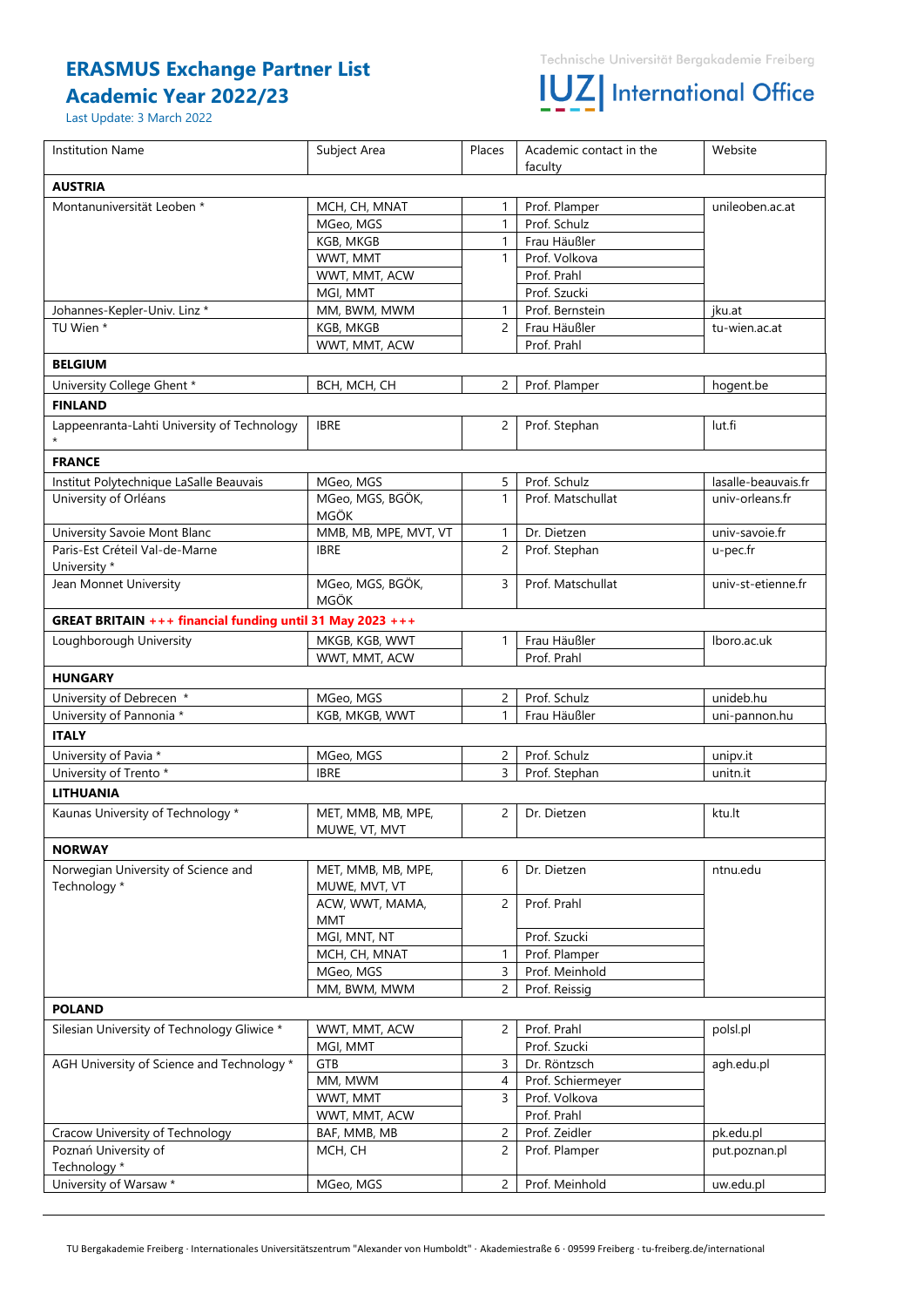## **ERASMUS Exchange Partner List Academic Year 2022/23**

### Last Update: 3 March 2022

# **IUZ** International Office

| <b>Institution Name</b>                                   | Subject Area                        | Places         | Academic contact in the | Website             |
|-----------------------------------------------------------|-------------------------------------|----------------|-------------------------|---------------------|
| <b>AUSTRIA</b>                                            |                                     |                | faculty                 |                     |
| Montanuniversität Leoben *                                | MCH, CH, MNAT                       | 1              | Prof. Plamper           | unileoben.ac.at     |
|                                                           | MGeo, MGS                           | $\mathbf{1}$   | Prof. Schulz            |                     |
|                                                           | KGB, MKGB                           | $\mathbf{1}$   | Frau Häußler            |                     |
|                                                           | WWT, MMT                            | $\mathbf{1}$   | Prof. Volkova           |                     |
|                                                           | WWT, MMT, ACW                       |                | Prof. Prahl             |                     |
|                                                           | MGI, MMT                            |                | Prof. Szucki            |                     |
| Johannes-Kepler-Univ. Linz *                              | MM, BWM, MWM                        | $\mathbf{1}$   | Prof. Bernstein         | jku.at              |
| TU Wien *                                                 | KGB, MKGB                           | $\overline{2}$ | Frau Häußler            | tu-wien.ac.at       |
|                                                           | WWT, MMT, ACW                       |                | Prof. Prahl             |                     |
| <b>BELGIUM</b>                                            |                                     |                |                         |                     |
| University College Ghent *                                | BCH, MCH, CH                        | $\overline{2}$ | Prof. Plamper           | hogent.be           |
| <b>FINLAND</b>                                            |                                     |                |                         |                     |
| Lappeenranta-Lahti University of Technology               | <b>IBRE</b>                         | $\overline{2}$ | Prof. Stephan           | lut.fi              |
| <b>FRANCE</b>                                             |                                     |                |                         |                     |
| Institut Polytechnique LaSalle Beauvais                   | MGeo, MGS                           | 5              | Prof. Schulz            | lasalle-beauvais.fr |
| University of Orléans                                     | MGeo, MGS, BGÖK,                    | $\mathbf{1}$   | Prof. Matschullat       | univ-orleans.fr     |
|                                                           | MGÖK                                |                |                         |                     |
| University Savoie Mont Blanc                              | MMB, MB, MPE, MVT, VT               | $\mathbf{1}$   | Dr. Dietzen             | univ-savoie.fr      |
| Paris-Est Créteil Val-de-Marne<br>University *            | <b>IBRE</b>                         | $\overline{2}$ | Prof. Stephan           | u-pec.fr            |
| Jean Monnet University                                    | MGeo, MGS, BGÖK,<br><b>MGÖK</b>     | 3              | Prof. Matschullat       | univ-st-etienne.fr  |
| GREAT BRITAIN +++ financial funding until 31 May 2023 +++ |                                     |                |                         |                     |
| Loughborough University                                   | MKGB, KGB, WWT                      | $\mathbf{1}$   | Frau Häußler            | Iboro.ac.uk         |
|                                                           | WWT, MMT, ACW                       |                | Prof. Prahl             |                     |
| <b>HUNGARY</b>                                            |                                     |                |                         |                     |
| University of Debrecen *                                  | MGeo, MGS                           | $\overline{2}$ | Prof. Schulz            | unideb.hu           |
| University of Pannonia *                                  | KGB, MKGB, WWT                      | $\mathbf{1}$   | Frau Häußler            | uni-pannon.hu       |
| <b>ITALY</b>                                              |                                     |                |                         |                     |
| University of Pavia *                                     | MGeo, MGS                           | $\mathbf{2}$   | Prof. Schulz            | unipv.it            |
| University of Trento *                                    | <b>IBRE</b>                         | 3              | Prof. Stephan           | unitn.it            |
| <b>LITHUANIA</b>                                          |                                     |                |                         |                     |
| Kaunas University of Technology *                         | MET, MMB, MB, MPE,<br>MUWE, VT, MVT | $\overline{2}$ | Dr. Dietzen             | ktu.lt              |
| <b>NORWAY</b>                                             |                                     |                |                         |                     |
| Norwegian University of Science and<br>Technology *       | MET, MMB, MB, MPE,<br>MUWE, MVT, VT | 6              | Dr. Dietzen             | ntnu.edu            |
|                                                           | ACW, WWT, MAMA,<br>MMT              | $\overline{2}$ | Prof. Prahl             |                     |
|                                                           | MGI, MNT, NT                        |                | Prof. Szucki            |                     |
|                                                           | MCH, CH, MNAT                       | $\mathbf{1}$   | Prof. Plamper           |                     |
|                                                           | MGeo, MGS                           | 3              | Prof. Meinhold          |                     |
|                                                           | MM, BWM, MWM                        | $\overline{2}$ | Prof. Reissig           |                     |
| <b>POLAND</b>                                             |                                     |                |                         |                     |
| Silesian University of Technology Gliwice *               | WWT, MMT, ACW                       | 2              | Prof. Prahl             | polsl.pl            |
|                                                           | MGI, MMT                            |                | Prof. Szucki            |                     |
| AGH University of Science and Technology *                | GTB                                 | $\mathsf{3}$   | Dr. Röntzsch            | agh.edu.pl          |
|                                                           | MM, MWM                             | 4              | Prof. Schiermeyer       |                     |
|                                                           | WWT, MMT                            | 3              | Prof. Volkova           |                     |
|                                                           | WWT, MMT, ACW                       |                | Prof. Prahl             |                     |
| Cracow University of Technology                           | BAF, MMB, MB                        | $\overline{c}$ | Prof. Zeidler           | pk.edu.pl           |
| Poznań University of                                      | MCH, CH                             | 2              | Prof. Plamper           | put.poznan.pl       |
| Technology *                                              |                                     |                |                         |                     |
| University of Warsaw *                                    | MGeo, MGS                           | $\overline{2}$ | Prof. Meinhold          | uw.edu.pl           |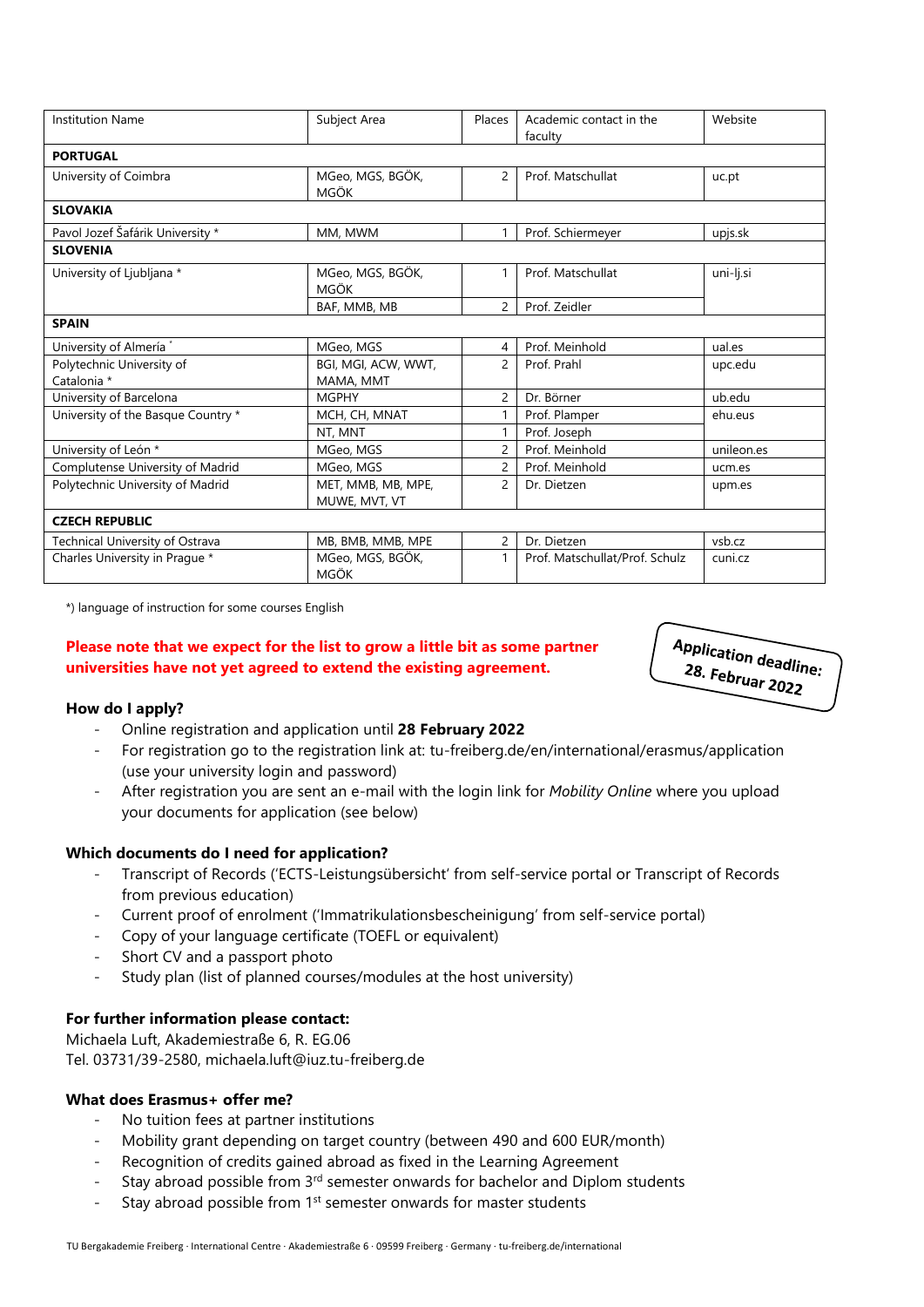| <b>Institution Name</b>                  | Subject Area                        | Places         | Academic contact in the<br>faculty | Website    |  |  |  |
|------------------------------------------|-------------------------------------|----------------|------------------------------------|------------|--|--|--|
| <b>PORTUGAL</b>                          |                                     |                |                                    |            |  |  |  |
| University of Coimbra                    | MGeo, MGS, BGÖK,<br>MGÖK            | $\overline{c}$ | Prof. Matschullat                  | uc.pt      |  |  |  |
| <b>SLOVAKIA</b>                          |                                     |                |                                    |            |  |  |  |
| Pavol Jozef Šafárik University *         | MM, MWM                             | 1              | Prof. Schiermeyer                  | upjs.sk    |  |  |  |
| <b>SLOVENIA</b>                          |                                     |                |                                    |            |  |  |  |
| University of Ljubljana *                | MGeo, MGS, BGÖK,<br>MGÖK            | 1              | Prof. Matschullat                  | uni-lj.si  |  |  |  |
|                                          | BAF, MMB, MB                        | $\overline{2}$ | Prof. Zeidler                      |            |  |  |  |
| <b>SPAIN</b>                             |                                     |                |                                    |            |  |  |  |
| University of Almería*                   | MGeo, MGS                           | 4              | Prof. Meinhold                     | ual.es     |  |  |  |
| Polytechnic University of<br>Catalonia * | BGI, MGI, ACW, WWT,<br>MAMA, MMT    | $\overline{2}$ | Prof. Prahl                        | upc.edu    |  |  |  |
| University of Barcelona                  | <b>MGPHY</b>                        | $\overline{c}$ | Dr. Börner                         | ub.edu     |  |  |  |
| University of the Basque Country *       | MCH, CH, MNAT                       | $\mathbf{1}$   | Prof. Plamper                      | ehu.eus    |  |  |  |
|                                          | NT, MNT                             | 1              | Prof. Joseph                       |            |  |  |  |
| University of León *                     | MGeo, MGS                           | $\overline{c}$ | Prof. Meinhold                     | unileon.es |  |  |  |
| Complutense University of Madrid         | MGeo, MGS                           | $\overline{c}$ | Prof. Meinhold                     | ucm.es     |  |  |  |
| Polytechnic University of Madrid         | MET, MMB, MB, MPE,<br>MUWE, MVT, VT | $\overline{c}$ | Dr. Dietzen                        | upm.es     |  |  |  |
| <b>CZECH REPUBLIC</b>                    |                                     |                |                                    |            |  |  |  |
| Technical University of Ostrava          | MB, BMB, MMB, MPE                   | $\overline{c}$ | Dr. Dietzen                        | vsb.cz     |  |  |  |
| Charles University in Prague *           | MGeo, MGS, BGÖK,<br><b>MGÖK</b>     | 1              | Prof. Matschullat/Prof. Schulz     | cuni.cz    |  |  |  |

\*) language of instruction for some courses English

## **Please note that we expect for the list to grow a little bit as some partner universities have not yet agreed to extend the existing agreement.**



## **How do I apply?**

- Online registration and application until **28 February 2022**
- For registration go to the registration link at: tu-freiberg.de/en/international/erasmus/application (use your university login and password)
- After registration you are sent an e-mail with the login link for *Mobility Online* where you upload your documents for application (see below)

## **Which documents do I need for application?**

- Transcript of Records ('ECTS-Leistungsübersicht' from self-service portal or Transcript of Records from previous education)
- Current proof of enrolment ('Immatrikulationsbescheinigung' from self-service portal)
- Copy of your language certificate (TOEFL or equivalent)
- Short CV and a passport photo
- Study plan (list of planned courses/modules at the host university)

## **For further information please contact:**

Michaela Luft, Akademiestraße 6, R. EG.06 Tel. 03731/39-2580, michaela.luft@iuz.tu-freiberg.de

## **What does Erasmus+ offer me?**

- No tuition fees at partner institutions
- Mobility grant depending on target country (between 490 and 600 EUR/month)
- Recognition of credits gained abroad as fixed in the Learning Agreement
- Stay abroad possible from 3<sup>rd</sup> semester onwards for bachelor and Diplom students
- Stay abroad possible from 1<sup>st</sup> semester onwards for master students